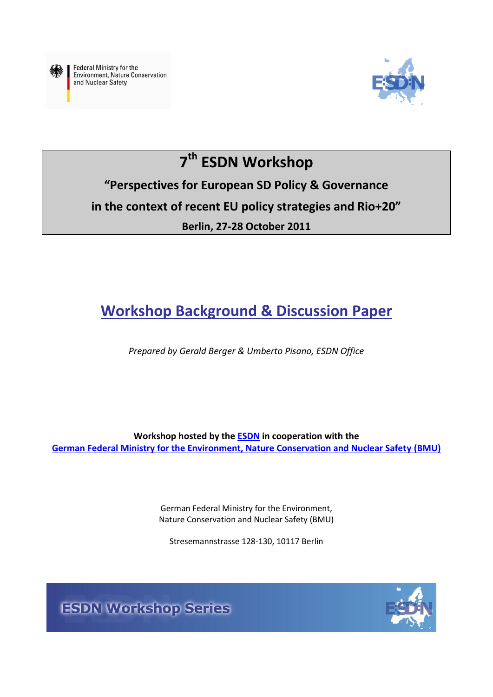

Federal Ministry for the **Environment, Nature Conservation** and Nuclear Safety



# **7 th ESDN Workshop**

## **"Perspectives for European SD Policy & Governance in the context of recent EU policy strategies and Rio+20" Berlin, 27-28 October 2011**

## **Workshop Background & Discussion Paper**

*Prepared by Gerald Berger & Umberto Pisano, ESDN Office*

**Workshop hosted by the [ESDN](http://www.sd-network.eu/) in cooperation with the [German Federal Ministry for the Environment, Nature Conservation and Nuclear Safety](http://www.bmu.de/english/aktuell/4152.php) (BMU)**

> German Federal Ministry for the Environment, Nature Conservation and Nuclear Safety (BMU)

Stresemannstrasse 128-130, 10117 Berlin



**ESDN Workshop Series**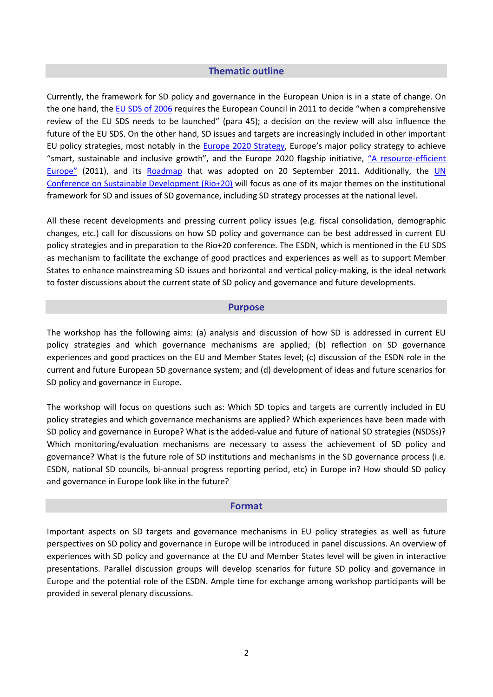#### **Thematic outline**

Currently, the framework for SD policy and governance in the European Union is in a state of change. On the one hand, th[e EU SDS of 2006](http://register.consilium.europa.eu/pdf/en/06/st10/st10917.en06.pdf) requires the European Council in 2011 to decide "when a comprehensive review of the EU SDS needs to be launched" (para 45); a decision on the review will also influence the future of the EU SDS. On the other hand, SD issues and targets are increasingly included in other important EU policy strategies, most notably in the [Europe 2020 Strategy](http://europa.eu/press_room/pdf/complet_en_barroso___007_-_europe_2020_-_en_version.pdf), Europe's major policy strategy to achieve "smart, sustainable and inclusive growth", and the Europe 2020 flagship initiative, ["A resource](http://ec.europa.eu/resource-efficient-europe/pdf/resource_efficient_europe_en.pdf)-efficient [Europe"](http://ec.europa.eu/resource-efficient-europe/pdf/resource_efficient_europe_en.pdf) (2011), and its [Roadmap](http://ec.europa.eu/environment/resource_efficiency/pdf/com2011_571.pdf) that was adopted on 20 September 2011. Additionally, the [UN](http://www.uncsd2012.org/)  [Conference on Sustainable Development \(Rio+20\)](http://www.uncsd2012.org/) will focus as one of its major themes on the institutional framework for SD and issues of SD governance, including SD strategy processes at the national level.

All these recent developments and pressing current policy issues (e.g. fiscal consolidation, demographic changes, etc.) call for discussions on how SD policy and governance can be best addressed in current EU policy strategies and in preparation to the Rio+20 conference. The ESDN, which is mentioned in the EU SDS as mechanism to facilitate the exchange of good practices and experiences as well as to support Member States to enhance mainstreaming SD issues and horizontal and vertical policy-making, is the ideal network to foster discussions about the current state of SD policy and governance and future developments.

#### **Purpose**

The workshop has the following aims: (a) analysis and discussion of how SD is addressed in current EU policy strategies and which governance mechanisms are applied; (b) reflection on SD governance experiences and good practices on the EU and Member States level; (c) discussion of the ESDN role in the current and future European SD governance system; and (d) development of ideas and future scenarios for SD policy and governance in Europe.

The workshop will focus on questions such as: Which SD topics and targets are currently included in EU policy strategies and which governance mechanisms are applied? Which experiences have been made with SD policy and governance in Europe? What is the added-value and future of national SD strategies (NSDSs)? Which monitoring/evaluation mechanisms are necessary to assess the achievement of SD policy and governance? What is the future role of SD institutions and mechanisms in the SD governance process (i.e. ESDN, national SD councils, bi-annual progress reporting period, etc) in Europe in? How should SD policy and governance in Europe look like in the future?

#### **Format**

Important aspects on SD targets and governance mechanisms in EU policy strategies as well as future perspectives on SD policy and governance in Europe will be introduced in panel discussions. An overview of experiences with SD policy and governance at the EU and Member States level will be given in interactive presentations. Parallel discussion groups will develop scenarios for future SD policy and governance in Europe and the potential role of the ESDN. Ample time for exchange among workshop participants will be provided in several plenary discussions.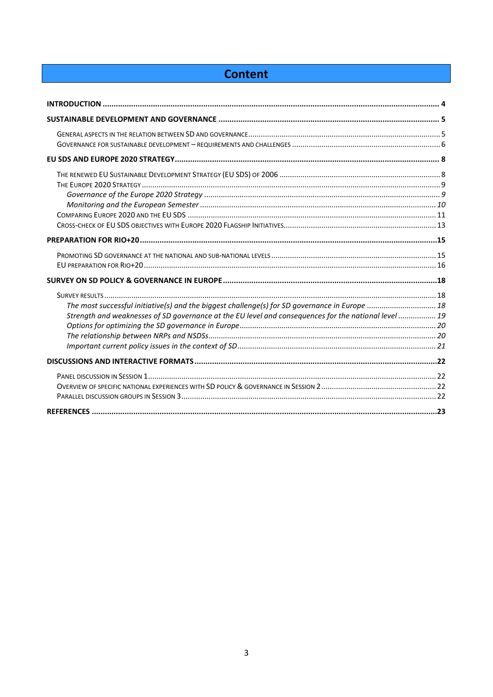## **Content**

| The most successful initiative(s) and the biggest challenge(s) for SD governance in Europe  18       |  |
|------------------------------------------------------------------------------------------------------|--|
| Strength and weaknesses of SD governance at the EU level and consequences for the national level  19 |  |
|                                                                                                      |  |
|                                                                                                      |  |
|                                                                                                      |  |
|                                                                                                      |  |
|                                                                                                      |  |
|                                                                                                      |  |
|                                                                                                      |  |
|                                                                                                      |  |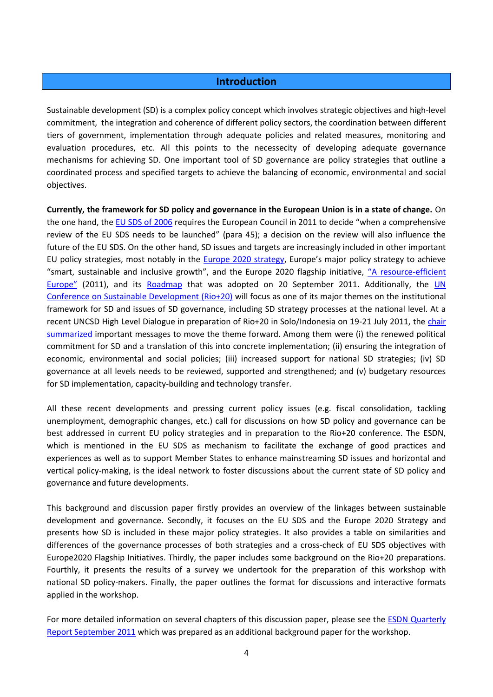## **Introduction**

<span id="page-3-0"></span>Sustainable development (SD) is a complex policy concept which involves strategic objectives and high-level commitment, the integration and coherence of different policy sectors, the coordination between different tiers of government, implementation through adequate policies and related measures, monitoring and evaluation procedures, etc. All this points to the necessecity of developing adequate governance mechanisms for achieving SD. One important tool of SD governance are policy strategies that outline a coordinated process and specified targets to achieve the balancing of economic, environmental and social objectives.

**Currently, the framework for SD policy and governance in the European Union is in a state of change.** On the one hand, th[e EU SDS of](http://register.consilium.europa.eu/pdf/en/06/st10/st10917.en06.pdf) 2006 requires the European Council in 2011 to decide "when a comprehensive review of the EU SDS needs to be launched" (para 45); a decision on the review will also influence the future of the EU SDS. On the other hand, SD issues and targets are increasingly included in other important EU policy strategies, most notably in the [Europe 2020 strategy](http://europa.eu/press_room/pdf/complet_en_barroso___007_-_europe_2020_-_en_version.pdf), Europe's major policy strategy to achieve "smart, sustainable and inclusive growth", and the Europe 2020 flagship initiative, ["A resource](http://ec.europa.eu/resource-efficient-europe/pdf/resource_efficient_europe_en.pdf)-efficient [Europe"](http://ec.europa.eu/resource-efficient-europe/pdf/resource_efficient_europe_en.pdf) (2011), and its [Roadmap](http://ec.europa.eu/environment/resource_efficiency/pdf/com2011_571.pdf) that was adopted on 20 September 2011. Additionally, the UN [Conference on Sustainable Development \(Rio+20\)](http://www.uncsd2012.org/) will focus as one of its major themes on the institutional framework for SD and issues of SD governance, including SD strategy processes at the national level. At a recent UNCSD High Level Dialogue in preparation of Rio+20 in Solo/Indonesia on 19-21 July 2011, the [chair](http://www.uncsd2012.org/rio20/content/documents/Chairs%20Summary%20from%20Solo%20meeting.pdf)  [summarized](http://www.uncsd2012.org/rio20/content/documents/Chairs%20Summary%20from%20Solo%20meeting.pdf) important messages to move the theme forward. Among them were (i) the renewed political commitment for SD and a translation of this into concrete implementation; (ii) ensuring the integration of economic, environmental and social policies; (iii) increased support for national SD strategies; (iv) SD governance at all levels needs to be reviewed, supported and strengthened; and (v) budgetary resources for SD implementation, capacity-building and technology transfer.

All these recent developments and pressing current policy issues (e.g. fiscal consolidation, tackling unemployment, demographic changes, etc.) call for discussions on how SD policy and governance can be best addressed in current EU policy strategies and in preparation to the Rio+20 conference. The ESDN, which is mentioned in the EU SDS as mechanism to facilitate the exchange of good practices and experiences as well as to support Member States to enhance mainstreaming SD issues and horizontal and vertical policy-making, is the ideal network to foster discussions about the current state of SD policy and governance and future developments.

This background and discussion paper firstly provides an overview of the linkages between sustainable development and governance. Secondly, it focuses on the EU SDS and the Europe 2020 Strategy and presents how SD is included in these major policy strategies. It also provides a table on similarities and differences of the governance processes of both strategies and a cross-check of EU SDS objectives with Europe2020 Flagship Initiatives. Thirdly, the paper includes some background on the Rio+20 preparations. Fourthly, it presents the results of a survey we undertook for the preparation of this workshop with national SD policy-makers. Finally, the paper outlines the format for discussions and interactive formats applied in the workshop.

For more detailed information on several chapters of this discussion paper, please see the [ESDN Quarterly](http://www.sd-network.eu/?k=quarterly%20reports&report_id=22)  [Report September 2011](http://www.sd-network.eu/?k=quarterly%20reports&report_id=22) which was prepared as an additional background paper for the workshop.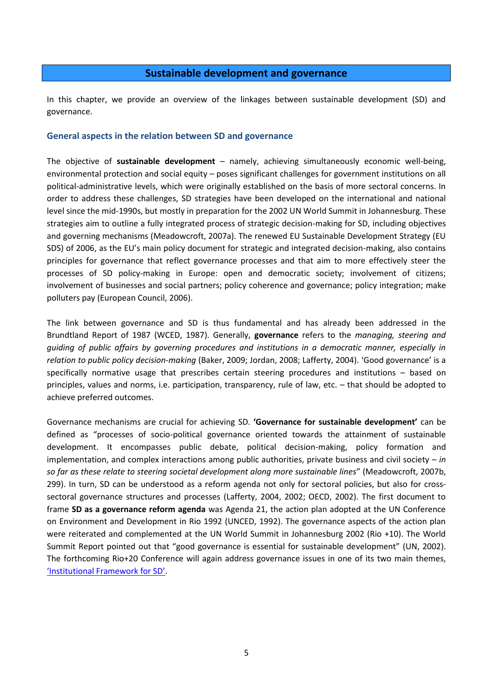## **Sustainable development and governance**

<span id="page-4-0"></span>In this chapter, we provide an overview of the linkages between sustainable development (SD) and governance.

#### <span id="page-4-1"></span>**General aspects in the relation between SD and governance**

The objective of **sustainable development** – namely, achieving simultaneously economic well-being, environmental protection and social equity – poses significant challenges for government institutions on all political-administrative levels, which were originally established on the basis of more sectoral concerns. In order to address these challenges, SD strategies have been developed on the international and national level since the mid-1990s, but mostly in preparation for the 2002 UN World Summit in Johannesburg. These strategies aim to outline a fully integrated process of strategic decision-making for SD, including objectives and governing mechanisms (Meadowcroft, 2007a). The renewed EU Sustainable Development Strategy (EU SDS) of 2006, as the EU's main policy document for strategic and integrated decision-making, also contains principles for governance that reflect governance processes and that aim to more effectively steer the processes of SD policy-making in Europe: open and democratic society; involvement of citizens; involvement of businesses and social partners; policy coherence and governance; policy integration; make polluters pay (European Council, 2006).

The link between governance and SD is thus fundamental and has already been addressed in the Brundtland Report of 1987 (WCED, 1987). Generally, **governance** refers to the *managing, steering and guiding of public affairs by governing procedures and institutions in a democratic manner, especially in relation to public policy decision-making* (Baker, 2009; Jordan, 2008; Lafferty, 2004). 'Good governance' is a specifically normative usage that prescribes certain steering procedures and institutions – based on principles, values and norms, i.e. participation, transparency, rule of law, etc. – that should be adopted to achieve preferred outcomes.

Governance mechanisms are crucial for achieving SD. **'Governance for sustainable development'** can be defined as "processes of socio-political governance oriented towards the attainment of sustainable development. It encompasses public debate, political decision-making, policy formation and implementation, and complex interactions among public authorities, private business and civil society – *in so far as these relate to steering societal development along more sustainable lines*" (Meadowcroft, 2007b, 299). In turn, SD can be understood as a reform agenda not only for sectoral policies, but also for crosssectoral governance structures and processes (Lafferty, 2004, 2002; OECD, 2002). The first document to frame **SD as a governance reform agenda** was Agenda 21, the action plan adopted at the UN Conference on Environment and Development in Rio 1992 (UNCED, 1992). The governance aspects of the action plan were reiterated and complemented at the UN World Summit in Johannesburg 2002 (Rio +10). The World Summit Report pointed out that "good governance is essential for sustainable development" (UN, 2002). The forthcoming Rio+20 Conference will again address governance issues in one of its two main themes, ['Institutional Framework for SD'](http://www.uncsd2012.org/rio20/index.php?menu=63).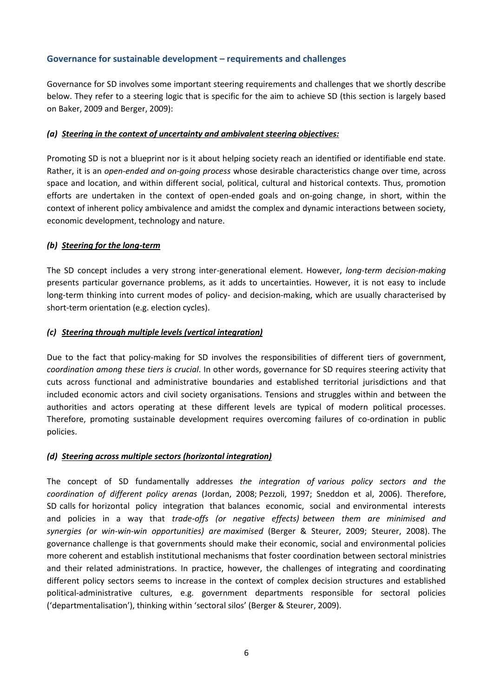## <span id="page-5-0"></span>**Governance for sustainable development – requirements and challenges**

Governance for SD involves some important steering requirements and challenges that we shortly describe below. They refer to a steering logic that is specific for the aim to achieve SD (this section is largely based on Baker, 2009 and Berger, 2009):

#### *(a) Steering in the context of uncertainty and ambivalent steering objectives:*

Promoting SD is not a blueprint nor is it about helping society reach an identified or identifiable end state. Rather, it is an *open-ended and on-going process* whose desirable characteristics change over time, across space and location, and within different social, political, cultural and historical contexts. Thus, promotion efforts are undertaken in the context of open-ended goals and on-going change, in short, within the context of inherent policy ambivalence and amidst the complex and dynamic interactions between society, economic development, technology and nature.

## *(b) Steering for the long-term*

The SD concept includes a very strong inter-generational element. However, *long-term decision-making* presents particular governance problems, as it adds to uncertainties. However, it is not easy to include long-term thinking into current modes of policy- and decision-making, which are usually characterised by short-term orientation (e.g. election cycles).

## *(c) Steering through multiple levels (vertical integration)*

Due to the fact that policy-making for SD involves the responsibilities of different tiers of government, *coordination among these tiers is crucial*. In other words, governance for SD requires steering activity that cuts across functional and administrative boundaries and established territorial jurisdictions and that included economic actors and civil society organisations. Tensions and struggles within and between the authorities and actors operating at these different levels are typical of modern political processes. Therefore, promoting sustainable development requires overcoming failures of co-ordination in public policies.

#### *(d) Steering across multiple sectors (horizontal integration)*

The concept of SD fundamentally addresses *the integration of various policy sectors and the coordination of different policy arenas* (Jordan, 2008; Pezzoli, 1997; Sneddon et al, 2006). Therefore, SD calls for horizontal policy integration that balances economic, social and environmental interests and policies in a way that *trade‐offs (or negative effects) between them are minimised and synergies (or win‐win‐win opportunities) are maximised* (Berger & Steurer, 2009; Steurer, 2008). The governance challenge is that governments should make their economic, social and environmental policies more coherent and establish institutional mechanisms that foster coordination between sectoral ministries and their related administrations. In practice, however, the challenges of integrating and coordinating different policy sectors seems to increase in the context of complex decision structures and established political-administrative cultures, e.g. government departments responsible for sectoral policies ('departmentalisation'), thinking within 'sectoral silos' (Berger & Steurer, 2009).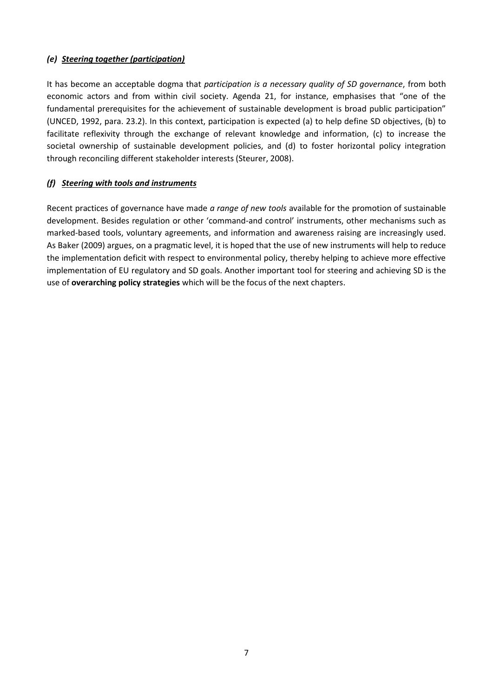## *(e) Steering together (participation)*

It has become an acceptable dogma that *participation is a necessary quality of SD governance*, from both economic actors and from within civil society. Agenda 21, for instance, emphasises that "one of the fundamental prerequisites for the achievement of sustainable development is broad public participation" (UNCED, 1992, para. 23.2). In this context, participation is expected (a) to help define SD objectives, (b) to facilitate reflexivity through the exchange of relevant knowledge and information, (c) to increase the societal ownership of sustainable development policies, and (d) to foster horizontal policy integration through reconciling different stakeholder interests (Steurer, 2008).

## *(f) Steering with tools and instruments*

Recent practices of governance have made *a range of new tools* available for the promotion of sustainable development. Besides regulation or other 'command-and control' instruments, other mechanisms such as marked-based tools, voluntary agreements, and information and awareness raising are increasingly used. As Baker (2009) argues, on a pragmatic level, it is hoped that the use of new instruments will help to reduce the implementation deficit with respect to environmental policy, thereby helping to achieve more effective implementation of EU regulatory and SD goals. Another important tool for steering and achieving SD is the use of **overarching policy strategies** which will be the focus of the next chapters.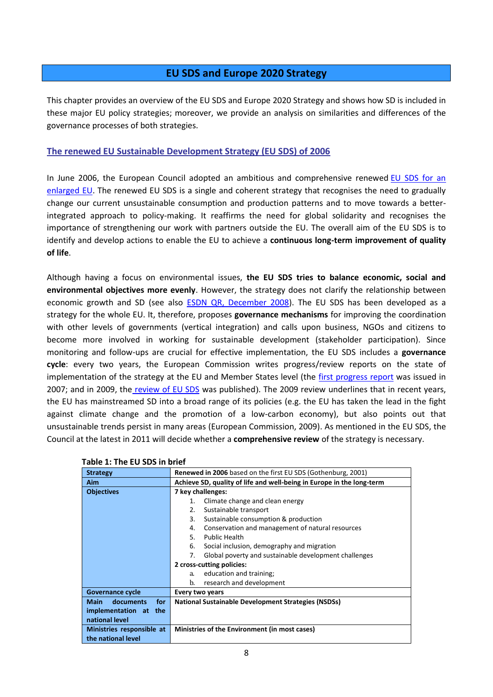## **EU SDS and Europe 2020 Strategy**

<span id="page-7-0"></span>This chapter provides an overview of the EU SDS and Europe 2020 Strategy and shows how SD is included in these major EU policy strategies; moreover, we provide an analysis on similarities and differences of the governance processes of both strategies.

## <span id="page-7-1"></span>**The renewed EU Sustainable Development Strategy (EU SDS) of 2006**

In June 2006, the European Council adopted an ambitious and comprehensive renewed EU [SDS for an](http://register.consilium.europa.eu/pdf/en/06/st10/st10917.en06.pdf)  [enlarged EU.](http://register.consilium.europa.eu/pdf/en/06/st10/st10917.en06.pdf) The renewed EU SDS is a single and coherent strategy that recognises the need to gradually change our current unsustainable consumption and production patterns and to move towards a betterintegrated approach to policy-making. It reaffirms the need for global solidarity and recognises the importance of strengthening our work with partners outside the EU. The overall aim of the EU SDS is to identify and develop actions to enable the EU to achieve a **continuous long-term improvement of quality of life**.

Although having a focus on environmental issues, **the EU SDS tries to balance economic, social and environmental objectives more evenly**. However, the strategy does not clarify the relationship between economic growth and SD (see also **ESDN QR, December 2008**). The EU SDS has been developed as a strategy for the whole EU. It, therefore, proposes **governance mechanisms** for improving the coordination with other levels of governments (vertical integration) and calls upon business, NGOs and citizens to become more involved in working for sustainable development (stakeholder participation). Since monitoring and follow-ups are crucial for effective implementation, the EU SDS includes a **governance cycle**: every two years, the European Commission writes progress/review reports on the state of implementation of the strategy at the EU and Member States level (the [first progress report](http://eur-lex.europa.eu/LexUriServ/LexUriServ.do?uri=COM:2007:0642:FIN:EN:PDF) was issued in 2007; and in 2009, the [review of EU SDS](http://eur-lex.europa.eu/LexUriServ/LexUriServ.do?uri=COM:2009:0400:FIN:EN:PDF) was published). The 2009 review underlines that in recent years, the EU has mainstreamed SD into a broad range of its policies (e.g. the EU has taken the lead in the fight against climate change and the promotion of a low-carbon economy), but also points out that unsustainable trends persist in many areas (European Commission, 2009). As mentioned in the EU SDS, the Council at the latest in 2011 will decide whether a **comprehensive review** of the strategy is necessary.

| <b>Strategy</b>                          | <b>Renewed in 2006</b> based on the first EU SDS (Gothenburg, 2001)   |  |  |  |
|------------------------------------------|-----------------------------------------------------------------------|--|--|--|
| <b>Aim</b>                               | Achieve SD, quality of life and well-being in Europe in the long-term |  |  |  |
| <b>Objectives</b>                        | 7 key challenges:                                                     |  |  |  |
|                                          | Climate change and clean energy<br>1.                                 |  |  |  |
|                                          | Sustainable transport<br>2.                                           |  |  |  |
|                                          | 3.<br>Sustainable consumption & production                            |  |  |  |
|                                          | Conservation and management of natural resources<br>4.                |  |  |  |
|                                          | 5.<br><b>Public Health</b>                                            |  |  |  |
|                                          | 6.<br>Social inclusion, demography and migration                      |  |  |  |
|                                          | Global poverty and sustainable development challenges<br>7.           |  |  |  |
|                                          | 2 cross-cutting policies:                                             |  |  |  |
|                                          | education and training;<br>a.                                         |  |  |  |
|                                          | b.<br>research and development                                        |  |  |  |
| Governance cycle                         | Every two years                                                       |  |  |  |
| for <b>f</b><br>Main<br><b>documents</b> | <b>National Sustainable Development Strategies (NSDSs)</b>            |  |  |  |
| implementation at the                    |                                                                       |  |  |  |
| national level                           |                                                                       |  |  |  |
| Ministries responsible at                | Ministries of the Environment (in most cases)                         |  |  |  |
| the national level                       |                                                                       |  |  |  |

#### **Table 1: The EU SDS in brief**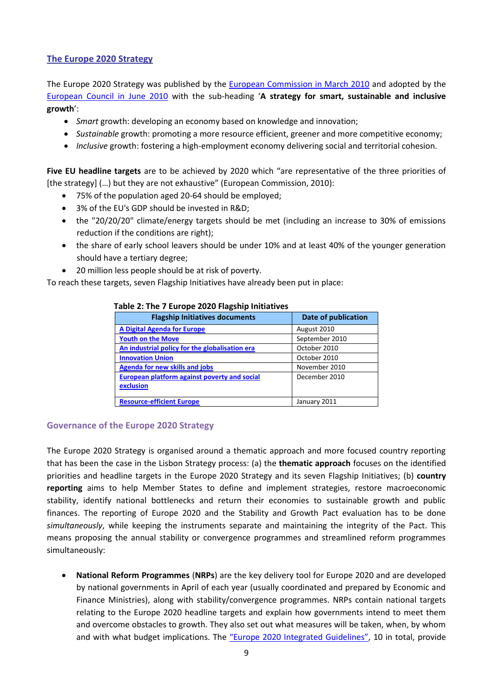## <span id="page-8-0"></span>**The Europe 2020 Strategy**

The Europe 2020 Strategy was published by the **European Commission in March 2010** and adopted by the [European Council in June 2010](http://ec.europa.eu/eu2020/pdf/council_conclusion_17_june_en.pdf) with the sub-heading '**A strategy for smart, sustainable and inclusive growth**':

- *Smart* growth: developing an economy based on knowledge and innovation;
- *Sustainable* growth: promoting a more resource efficient, greener and more competitive economy;
- *Inclusive* growth: fostering a high-employment economy delivering social and territorial cohesion.

**Five EU headline targets** are to be achieved by 2020 which "are representative of the three priorities of [the strategy]  $(...)$  but they are not exhaustive" (European Commission, 2010):

- 75% of the population aged 20-64 should be employed;
- 3% of the EU's GDP should be invested in R&D;
- the "20/20/20" climate/energy targets should be met (including an increase to 30% of emissions reduction if the conditions are right);
- the share of early school leavers should be under 10% and at least 40% of the younger generation should have a tertiary degree;
- 20 million less people should be at risk of poverty.

To reach these targets, seven Flagship Initiatives have already been put in place:

| <b>Flagship Initiatives documents</b>                     | Date of publication |
|-----------------------------------------------------------|---------------------|
| <b>A Digital Agenda for Europe</b>                        | August 2010         |
| <b>Youth on the Move</b>                                  | September 2010      |
| An industrial policy for the globalisation era            | October 2010        |
| <b>Innovation Union</b>                                   | October 2010        |
| <b>Agenda for new skills and jobs</b>                     | November 2010       |
| European platform against poverty and social<br>exclusion | December 2010       |
| <b>Resource-efficient Europe</b>                          | January 2011        |

#### **Table 2: The 7 Europe 2020 Flagship Initiatives**

#### <span id="page-8-1"></span>**Governance of the Europe 2020 Strategy**

The Europe 2020 Strategy is organised around a thematic approach and more focused country reporting that has been the case in the Lisbon Strategy process: (a) the **thematic approach** focuses on the identified priorities and headline targets in the Europe 2020 Strategy and its seven Flagship Initiatives; (b) **country reporting** aims to help Member States to define and implement strategies, restore macroeconomic stability, identify national bottlenecks and return their economies to sustainable growth and public finances. The reporting of Europe 2020 and the Stability and Growth Pact evaluation has to be done *simultaneously*, while keeping the instruments separate and maintaining the integrity of the Pact. This means proposing the annual stability or convergence programmes and streamlined reform programmes simultaneously:

 **National Reform Programmes** (**NRPs**) are the key delivery tool for Europe 2020 and are developed by national governments in April of each year (usually coordinated and prepared by Economic and Finance Ministries), along with stability/convergence programmes. NRPs contain national targets relating to the Europe 2020 headline targets and explain how governments intend to meet them and overcome obstacles to growth. They also set out what measures will be taken, when, by whom and with what budget implications. The ["Europe 2020 Integrated Guidelines"](http://ec.europa.eu/eu2020/pdf/Brochure%20Integrated%20Guidelines.pdf), 10 in total, provide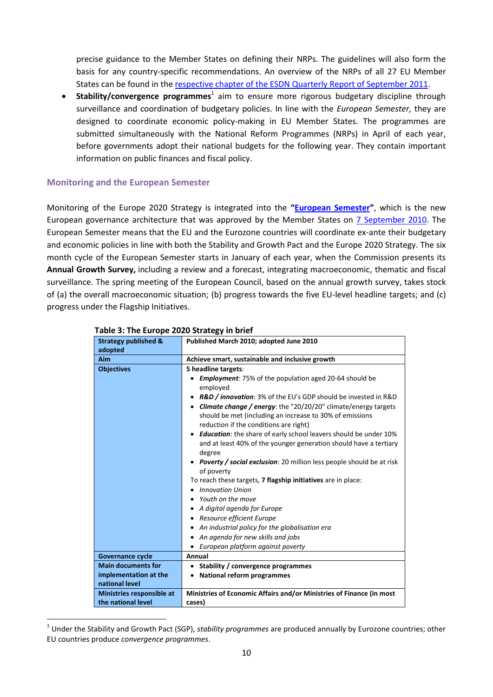precise guidance to the Member States on defining their NRPs. The guidelines will also form the basis for any country-specific recommendations. An overview of the NRPs of all 27 EU Member States can be found in the respective [chapter of the ESDN Quarterly Report of September 2011.](http://www.sd-network.eu/?k=quarterly%20reports#qr42)

**Stability/convergence programmes**<sup>1</sup> aim to ensure more rigorous budgetary discipline through surveillance and coordination of budgetary policies. In line with the *European Semester,* they are designed to coordinate economic policy-making in EU Member States. The programmes are submitted simultaneously with the National Reform Programmes (NRPs) in April of each year, before governments adopt their national budgets for the following year. They contain important information on public finances and fiscal policy.

## <span id="page-9-0"></span>**Monitoring and the European Semester**

1

Monitoring of the Europe 2020 Strategy is integrated into the **"[European Semester](http://ec.europa.eu/europe2020/pdf/chart_en.pdf)"**, which is the new European governance architecture that was approved by the Member States on [7 September 2010.](http://www.consilium.europa.eu/uedocs/cms_data/docs/pressdata/en/ecofin/116306.pdf) The European Semester means that the EU and the Eurozone countries will coordinate ex-ante their budgetary and economic policies in line with both the Stability and Growth Pact and the Europe 2020 Strategy. The six month cycle of the European Semester starts in January of each year, when the Commission presents its **Annual Growth Survey,** including a review and a forecast, integrating macroeconomic, thematic and fiscal surveillance. The spring meeting of the European Council, based on the annual growth survey, takes stock of (a) the overall macroeconomic situation; (b) progress towards the five EU-level headline targets; and (c) progress under the Flagship Initiatives.

| $\frac{1}{2}$<br><b>Strategy published &amp;</b> |                                                                                                                                                                        |  |  |  |  |
|--------------------------------------------------|------------------------------------------------------------------------------------------------------------------------------------------------------------------------|--|--|--|--|
| adopted                                          | Published March 2010; adopted June 2010                                                                                                                                |  |  |  |  |
| Aim                                              | Achieve smart, sustainable and inclusive growth                                                                                                                        |  |  |  |  |
| <b>Objectives</b>                                | 5 headline targets:                                                                                                                                                    |  |  |  |  |
|                                                  | <b>Employment:</b> 75% of the population aged 20-64 should be<br>employed                                                                                              |  |  |  |  |
|                                                  | R&D / innovation: 3% of the EU's GDP should be invested in R&D                                                                                                         |  |  |  |  |
|                                                  | • Climate change / energy: the "20/20/20" climate/energy targets<br>should be met (including an increase to 30% of emissions<br>reduction if the conditions are right) |  |  |  |  |
|                                                  | <b>Education:</b> the share of early school leavers should be under 10%<br>$\bullet$<br>and at least 40% of the younger generation should have a tertiary<br>degree    |  |  |  |  |
|                                                  | <b>Poverty / social exclusion:</b> 20 million less people should be at risk                                                                                            |  |  |  |  |
|                                                  | of poverty                                                                                                                                                             |  |  |  |  |
|                                                  | To reach these targets, <b>7 flagship initiatives</b> are in place:                                                                                                    |  |  |  |  |
|                                                  | <b>Innovation Union</b><br>٠                                                                                                                                           |  |  |  |  |
|                                                  | Youth on the move                                                                                                                                                      |  |  |  |  |
|                                                  | A digital agenda for Europe                                                                                                                                            |  |  |  |  |
|                                                  | • Resource efficient Europe                                                                                                                                            |  |  |  |  |
|                                                  | • An industrial policy for the globalisation era                                                                                                                       |  |  |  |  |
|                                                  | An agenda for new skills and jobs                                                                                                                                      |  |  |  |  |
|                                                  | • European platform against poverty                                                                                                                                    |  |  |  |  |
| <b>Governance cycle</b>                          | Annual                                                                                                                                                                 |  |  |  |  |
| <b>Main documents for</b>                        | • Stability / convergence programmes                                                                                                                                   |  |  |  |  |
| implementation at the<br>national level          | <b>National reform programmes</b><br>٠                                                                                                                                 |  |  |  |  |
| <b>Ministries responsible at</b>                 | Ministries of Economic Affairs and/or Ministries of Finance (in most                                                                                                   |  |  |  |  |
| the national level                               | cases)                                                                                                                                                                 |  |  |  |  |

#### **Table 3: The Europe 2020 Strategy in brief**

<sup>1</sup> Under the Stability and Growth Pact (SGP), *stability programmes* are produced annually by Eurozone countries; other EU countries produce *convergence programmes*.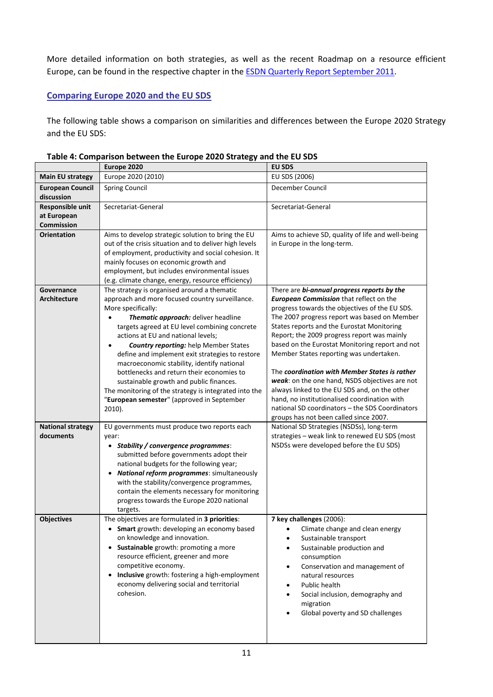More detailed information on both strategies, as well as the recent Roadmap on a resource efficient Europe, can be found in the respective chapter in the [ESDN Quarterly Report September 2011.](http://www.sd-network.eu/?k=quarterly%20reports&report_id=22#qr2)

## <span id="page-10-0"></span>**Comparing Europe 2020 and the EU SDS**

The following table shows a comparison on similarities and differences between the Europe 2020 Strategy and the EU SDS:

|                                               | Europe 2020                                                                                                                                                                                                                                                                                                                                                                                                                                                                                                                                                                                                                  | <b>EU SDS</b>                                                                                                                                                                                                                                                                                                                                                                                                                                                                                                                                                                                                                                                                               |  |  |
|-----------------------------------------------|------------------------------------------------------------------------------------------------------------------------------------------------------------------------------------------------------------------------------------------------------------------------------------------------------------------------------------------------------------------------------------------------------------------------------------------------------------------------------------------------------------------------------------------------------------------------------------------------------------------------------|---------------------------------------------------------------------------------------------------------------------------------------------------------------------------------------------------------------------------------------------------------------------------------------------------------------------------------------------------------------------------------------------------------------------------------------------------------------------------------------------------------------------------------------------------------------------------------------------------------------------------------------------------------------------------------------------|--|--|
| <b>Main EU strategy</b>                       | Europe 2020 (2010)                                                                                                                                                                                                                                                                                                                                                                                                                                                                                                                                                                                                           | EU SDS (2006)                                                                                                                                                                                                                                                                                                                                                                                                                                                                                                                                                                                                                                                                               |  |  |
| <b>European Council</b><br>discussion         | <b>Spring Council</b>                                                                                                                                                                                                                                                                                                                                                                                                                                                                                                                                                                                                        | December Council                                                                                                                                                                                                                                                                                                                                                                                                                                                                                                                                                                                                                                                                            |  |  |
| Responsible unit<br>at European<br>Commission | Secretariat-General                                                                                                                                                                                                                                                                                                                                                                                                                                                                                                                                                                                                          | Secretariat-General                                                                                                                                                                                                                                                                                                                                                                                                                                                                                                                                                                                                                                                                         |  |  |
| <b>Orientation</b>                            | Aims to develop strategic solution to bring the EU<br>out of the crisis situation and to deliver high levels<br>of employment, productivity and social cohesion. It<br>mainly focuses on economic growth and<br>employment, but includes environmental issues<br>(e.g. climate change, energy, resource efficiency)                                                                                                                                                                                                                                                                                                          | Aims to achieve SD, quality of life and well-being<br>in Europe in the long-term.                                                                                                                                                                                                                                                                                                                                                                                                                                                                                                                                                                                                           |  |  |
| Governance<br><b>Architecture</b>             | The strategy is organised around a thematic<br>approach and more focused country surveillance.<br>More specifically:<br>Thematic approach: deliver headline<br>targets agreed at EU level combining concrete<br>actions at EU and national levels;<br><b>Country reporting:</b> help Member States<br>$\bullet$<br>define and implement exit strategies to restore<br>macroeconomic stability, identify national<br>bottlenecks and return their economies to<br>sustainable growth and public finances.<br>The monitoring of the strategy is integrated into the<br>"European semester" (approved in September<br>$2010$ ). | There are bi-annual progress reports by the<br><b>European Commission that reflect on the</b><br>progress towards the objectives of the EU SDS.<br>The 2007 progress report was based on Member<br>States reports and the Eurostat Monitoring<br>Report; the 2009 progress report was mainly<br>based on the Eurostat Monitoring report and not<br>Member States reporting was undertaken.<br>The coordination with Member States is rather<br>weak: on the one hand, NSDS objectives are not<br>always linked to the EU SDS and, on the other<br>hand, no institutionalised coordination with<br>national SD coordinators - the SDS Coordinators<br>groups has not been called since 2007. |  |  |
| <b>National strategy</b><br>documents         | EU governments must produce two reports each<br>year:<br>• Stability / convergence programmes:<br>submitted before governments adopt their<br>national budgets for the following year;<br>National reform programmes: simultaneously<br>$\bullet$<br>with the stability/convergence programmes,<br>contain the elements necessary for monitoring<br>progress towards the Europe 2020 national<br>targets.                                                                                                                                                                                                                    | National SD Strategies (NSDSs), long-term<br>strategies - weak link to renewed EU SDS (most<br>NSDSs were developed before the EU SDS)                                                                                                                                                                                                                                                                                                                                                                                                                                                                                                                                                      |  |  |
| <b>Objectives</b>                             | The objectives are formulated in 3 priorities:<br>• Smart growth: developing an economy based<br>on knowledge and innovation.<br>Sustainable growth: promoting a more<br>$\bullet$<br>resource efficient, greener and more<br>competitive economy.<br>Inclusive growth: fostering a high-employment<br>$\bullet$<br>economy delivering social and territorial<br>cohesion.                                                                                                                                                                                                                                                   | 7 key challenges (2006):<br>Climate change and clean energy<br>Sustainable transport<br>Sustainable production and<br>consumption<br>Conservation and management of<br>٠<br>natural resources<br>Public health<br>Social inclusion, demography and<br>$\bullet$<br>migration<br>Global poverty and SD challenges                                                                                                                                                                                                                                                                                                                                                                            |  |  |

**Table 4: Comparison between the Europe 2020 Strategy and the EU SDS**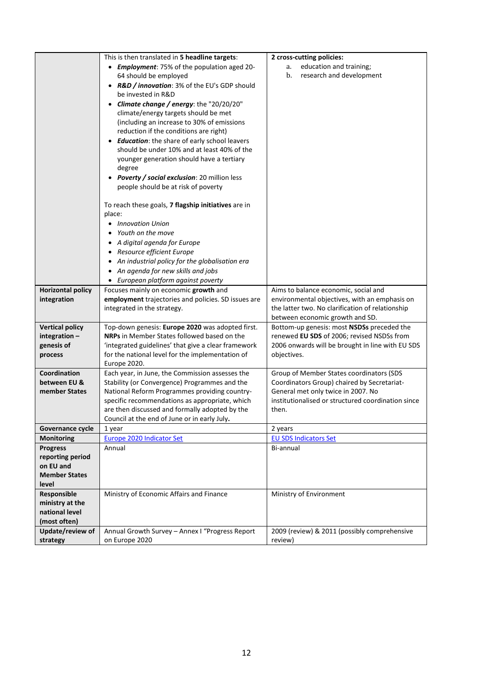|                               | This is then translated in 5 headline targets:                   | 2 cross-cutting policies:                          |
|-------------------------------|------------------------------------------------------------------|----------------------------------------------------|
|                               | • Employment: 75% of the population aged 20-                     | education and training;<br>a.                      |
|                               | 64 should be employed                                            | b.<br>research and development                     |
|                               | • R&D / innovation: 3% of the EU's GDP should                    |                                                    |
|                               | be invested in R&D                                               |                                                    |
|                               | • Climate change / energy: the "20/20/20"                        |                                                    |
|                               | climate/energy targets should be met                             |                                                    |
|                               | (including an increase to 30% of emissions                       |                                                    |
|                               | reduction if the conditions are right)                           |                                                    |
|                               | • Education: the share of early school leavers                   |                                                    |
|                               | should be under 10% and at least 40% of the                      |                                                    |
|                               | younger generation should have a tertiary                        |                                                    |
|                               | degree                                                           |                                                    |
|                               | • Poverty / social exclusion: 20 million less                    |                                                    |
|                               | people should be at risk of poverty                              |                                                    |
|                               | To reach these goals, 7 flagship initiatives are in              |                                                    |
|                               | place:                                                           |                                                    |
|                               | • Innovation Union                                               |                                                    |
|                               | Youth on the move                                                |                                                    |
|                               | • A digital agenda for Europe                                    |                                                    |
|                               | • Resource efficient Europe                                      |                                                    |
|                               | • An industrial policy for the globalisation era                 |                                                    |
|                               | • An agenda for new skills and jobs                              |                                                    |
|                               | • European platform against poverty                              |                                                    |
| <b>Horizontal policy</b>      | Focuses mainly on economic growth and                            | Aims to balance economic, social and               |
| integration                   | employment trajectories and policies. SD issues are              | environmental objectives, with an emphasis on      |
|                               | integrated in the strategy.                                      | the latter two. No clarification of relationship   |
|                               |                                                                  | between economic growth and SD.                    |
| <b>Vertical policy</b>        | Top-down genesis: Europe 2020 was adopted first.                 | Bottom-up genesis: most NSDSs preceded the         |
| integration $-$               | <b>NRPs</b> in Member States followed based on the               | renewed EU SDS of 2006; revised NSDSs from         |
| genesis of                    | 'integrated guidelines' that give a clear framework              | 2006 onwards will be brought in line with EU SDS   |
| process                       | for the national level for the implementation of<br>Europe 2020. | objectives.                                        |
| Coordination                  | Each year, in June, the Commission assesses the                  | Group of Member States coordinators (SDS           |
| between EU &                  | Stability (or Convergence) Programmes and the                    | Coordinators Group) chaired by Secretariat-        |
| member States                 | National Reform Programmes providing country-                    | General met only twice in 2007. No                 |
|                               | specific recommendations as appropriate, which                   | institutionalised or structured coordination since |
|                               | are then discussed and formally adopted by the                   | then.                                              |
|                               | Council at the end of June or in early July.                     |                                                    |
| Governance cycle              | 1 year                                                           | 2 years                                            |
| <b>Monitoring</b>             | <b>Europe 2020 Indicator Set</b>                                 | <b>EU SDS Indicators Set</b>                       |
| Progress                      | Annual                                                           | Bi-annual                                          |
| reporting period<br>on EU and |                                                                  |                                                    |
| <b>Member States</b>          |                                                                  |                                                    |
| level                         |                                                                  |                                                    |
| Responsible                   | Ministry of Economic Affairs and Finance                         | Ministry of Environment                            |
| ministry at the               |                                                                  |                                                    |
| national level                |                                                                  |                                                    |
| (most often)                  |                                                                  |                                                    |
| Update/review of              | Annual Growth Survey - Annex I "Progress Report                  | 2009 (review) & 2011 (possibly comprehensive       |
| strategy                      | on Europe 2020                                                   | review)                                            |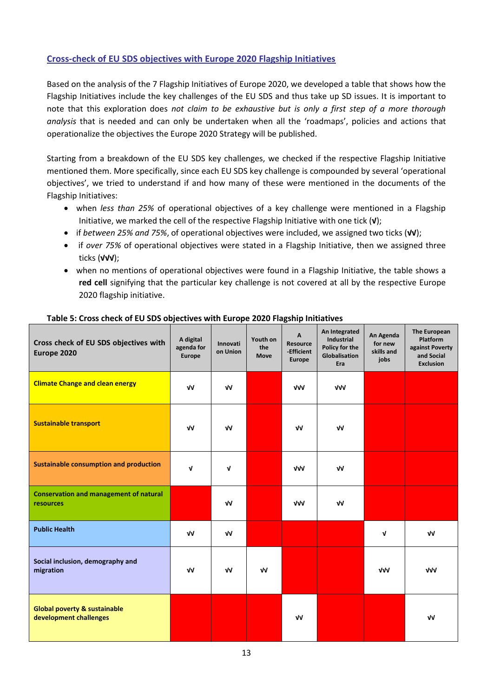## <span id="page-12-0"></span>**Cross-check of EU SDS objectives with Europe 2020 Flagship Initiatives**

Based on the analysis of the 7 Flagship Initiatives of Europe 2020, we developed a table that shows how the Flagship Initiatives include the key challenges of the EU SDS and thus take up SD issues. It is important to note that this exploration does *not claim to be exhaustive but is only a first step of a more thorough analysis* that is needed and can only be undertaken when all the 'roadmaps', policies and actions that operationalize the objectives the Europe 2020 Strategy will be published.

Starting from a breakdown of the EU SDS key challenges, we checked if the respective Flagship Initiative mentioned them. More specifically, since each EU SDS key challenge is compounded by several 'operational objectives', we tried to understand if and how many of these were mentioned in the documents of the Flagship Initiatives:

- when *less than 25%* of operational objectives of a key challenge were mentioned in a Flagship Initiative, we marked the cell of the respective Flagship Initiative with one tick (**√**);
- if *between 25% and 75%*, of operational objectives were included, we assigned two ticks (**√√**);
- if *over 75%* of operational objectives were stated in a Flagship Initiative, then we assigned three ticks (**√√√**);
- when no mentions of operational objectives were found in a Flagship Initiative, the table shows a **red cell** signifying that the particular key challenge is not covered at all by the respective Europe 2020 flagship initiative.

| Cross check of EU SDS objectives with<br>Europe 2020              | A digital<br>agenda for<br><b>Europe</b> | Innovati<br>on Union | Youth on<br>the<br><b>Move</b> | A<br><b>Resource</b><br>-Efficient<br><b>Europe</b> | An Integrated<br><b>Industrial</b><br>Policy for the<br>Globalisation<br>Era | An Agenda<br>for new<br>skills and<br>jobs | The European<br><b>Platform</b><br>against Poverty<br>and Social<br><b>Exclusion</b> |
|-------------------------------------------------------------------|------------------------------------------|----------------------|--------------------------------|-----------------------------------------------------|------------------------------------------------------------------------------|--------------------------------------------|--------------------------------------------------------------------------------------|
| <b>Climate Change and clean energy</b>                            | VV                                       | VV                   |                                | <b>VVV</b>                                          | VVV                                                                          |                                            |                                                                                      |
| <b>Sustainable transport</b>                                      | VV                                       | VV                   |                                | ٧V                                                  | VV                                                                           |                                            |                                                                                      |
| <b>Sustainable consumption and production</b>                     | V                                        | V                    |                                | <b>VVV</b>                                          | ٧V                                                                           |                                            |                                                                                      |
| <b>Conservation and management of natural</b><br>resources        |                                          | $\sqrt{V}$           |                                | <b>VVV</b>                                          | VV                                                                           |                                            |                                                                                      |
| <b>Public Health</b>                                              | $\sqrt{V}$                               | $\sqrt{V}$           |                                |                                                     |                                                                              | $\mathbf v$                                | $\sqrt{V}$                                                                           |
| Social inclusion, demography and<br>migration                     | VV                                       | VV                   | $\sqrt{V}$                     |                                                     |                                                                              | <b>VVV</b>                                 | VVV                                                                                  |
| <b>Global poverty &amp; sustainable</b><br>development challenges |                                          |                      |                                | $\sqrt{V}$                                          |                                                                              |                                            | $\sqrt{V}$                                                                           |

## **Table 5: Cross check of EU SDS objectives with Europe 2020 Flagship Initiatives**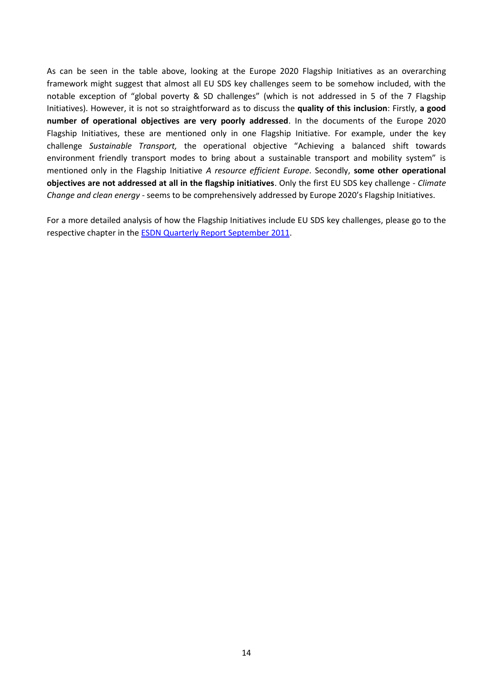As can be seen in the table above, looking at the Europe 2020 Flagship Initiatives as an overarching framework might suggest that almost all EU SDS key challenges seem to be somehow included, with the notable exception of "global poverty & SD challenges" (which is not addressed in 5 of the 7 Flagship Initiatives). However, it is not so straightforward as to discuss the **quality of this inclusion**: Firstly, **a good number of operational objectives are very poorly addressed**. In the documents of the Europe 2020 Flagship Initiatives, these are mentioned only in one Flagship Initiative. For example, under the key challenge *Sustainable Transport,* the operational objective "Achieving a balanced shift towards environment friendly transport modes to bring about a sustainable transport and mobility system" is mentioned only in the Flagship Initiative *A resource efficient Europe*. Secondly, **some other operational objectives are not addressed at all in the flagship initiatives**. Only the first EU SDS key challenge - *Climate Change and clean energy* - seems to be comprehensively addressed by Europe 2020's Flagship Initiatives.

For a more detailed analysis of how the Flagship Initiatives include EU SDS key challenges, please go to the respective chapter in th[e ESDN Quarterly Report September 2011.](http://www.sd-network.eu/?k=quarterly%20reports&report_id=22#qr24)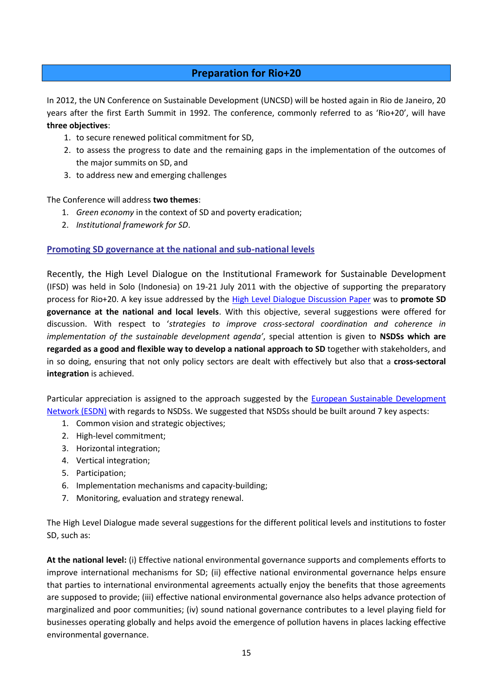## **Preparation for Rio+20**

<span id="page-14-0"></span>In 2012, the UN Conference on Sustainable Development (UNCSD) will be hosted again in Rio de Janeiro, 20 years after the first Earth Summit in 1992. The conference, commonly referred to as 'Rio+20', will have **three objectives**:

- 1. to secure renewed political commitment for SD,
- 2. to assess the progress to date and the remaining gaps in the implementation of the outcomes of the major summits on SD, and
- 3. to address new and emerging challenges

## The Conference will address **two themes**:

- 1. *Green economy* in the context of SD and poverty eradication;
- 2. *Institutional framework for SD*.

## <span id="page-14-1"></span>**Promoting SD governance at the national and sub-national levels**

Recently, the High Level Dialogue on the Institutional Framework for Sustainable Development (IFSD) was held in Solo (Indonesia) on 19-21 July 2011 with the objective of supporting the preparatory process for Rio+20. A key issue addressed by the High [Level Dialogue Discussion Paper](http://www.uncsd2012.org/rio20/content/documents/SOLO%20DISCUSSION%20PAPER_TEXT.pdf) was to **promote SD governance at the national and local levels**. With this objective, several suggestions were offered for discussion. With respect to '*strategies to improve cross-sectoral coordination and coherence in implementation of the sustainable development agenda'*, special attention is given to **NSDSs which are regarded as a good and flexible way to develop a national approach to SD** together with stakeholders, and in so doing, ensuring that not only policy sectors are dealt with effectively but also that a **cross-sectoral integration** is achieved.

Particular appreciation is assigned to the approach suggested by the **European Sustainable Development** [Network \(ESDN\)](http://www.sd-network.eu/?k=basics%20of%20SD%20strategies) with regards to NSDSs. We suggested that NSDSs should be built around 7 key aspects:

- 1. Common vision and strategic objectives;
- 2. High-level commitment;
- 3. Horizontal integration;
- 4. Vertical integration;
- 5. Participation;
- 6. Implementation mechanisms and capacity-building;
- 7. Monitoring, evaluation and strategy renewal.

The High Level Dialogue made several suggestions for the different political levels and institutions to foster SD, such as:

**At the national level:** (i) Effective national environmental governance supports and complements efforts to improve international mechanisms for SD; (ii) effective national environmental governance helps ensure that parties to international environmental agreements actually enjoy the benefits that those agreements are supposed to provide; (iii) effective national environmental governance also helps advance protection of marginalized and poor communities; (iv) sound national governance contributes to a level playing field for businesses operating globally and helps avoid the emergence of pollution havens in places lacking effective environmental governance.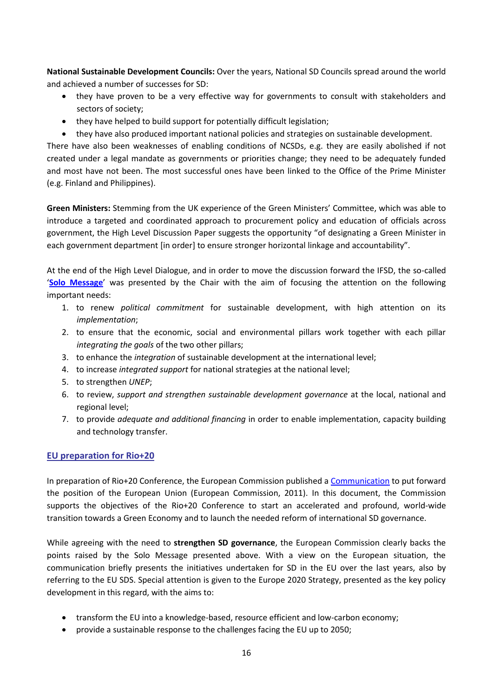**National Sustainable Development Councils:** Over the years, National SD Councils spread around the world and achieved a number of successes for SD:

- they have proven to be a very effective way for governments to consult with stakeholders and sectors of society;
- they have helped to build support for potentially difficult legislation;
- they have also produced important national policies and strategies on sustainable development.

There have also been weaknesses of enabling conditions of NCSDs, e.g. they are easily abolished if not created under a legal mandate as governments or priorities change; they need to be adequately funded and most have not been. The most successful ones have been linked to the Office of the Prime Minister (e.g. Finland and Philippines).

**Green Ministers:** Stemming from the UK experience of the Green Ministers' Committee, which was able to introduce a targeted and coordinated approach to procurement policy and education of officials across government, the High Level Discussion Paper suggests the opportunity "of designating a Green Minister in each government department [in order] to ensure stronger horizontal linkage and accountability".

At the end of the High Level Dialogue, and in order to move the discussion forward the IFSD, the so-called '**[Solo Message](http://www.uncsd2012.org/rio20/content/documents/Chairs%20Summary%20from%20Solo%20meeting.pdf)**' was presented by the Chair with the aim of focusing the attention on the following important needs:

- 1. to renew *political commitment* for sustainable development, with high attention on its *implementation*;
- 2. to ensure that the economic, social and environmental pillars work together with each pillar *integrating the goals* of the two other pillars;
- 3. to enhance the *integration* of sustainable development at the international level;
- 4. to increase *integrated support* for national strategies at the national level;
- 5. to strengthen *UNEP*;
- 6. to review, *support and strengthen sustainable development governance* at the local, national and regional level;
- 7. to provide *adequate and additional financing* in order to enable implementation, capacity building and technology transfer.

## <span id="page-15-0"></span>**EU preparation for Rio+20**

In preparation of Rio+20 Conference, the European Commission published a [Communication](http://eur-lex.europa.eu/LexUriServ/LexUriServ.do?uri=COM:2011:0363:FIN:EN:PDF) to put forward the position of the European Union (European Commission, 2011). In this document, the Commission supports the objectives of the Rio+20 Conference to start an accelerated and profound, world-wide transition towards a Green Economy and to launch the needed reform of international SD governance.

While agreeing with the need to **strengthen SD governance**, the European Commission clearly backs the points raised by the Solo Message presented above. With a view on the European situation, the communication briefly presents the initiatives undertaken for SD in the EU over the last years, also by referring to the EU SDS. Special attention is given to the Europe 2020 Strategy, presented as the key policy development in this regard, with the aims to:

- transform the EU into a knowledge-based, resource efficient and low-carbon economy;
- provide a sustainable response to the challenges facing the EU up to 2050;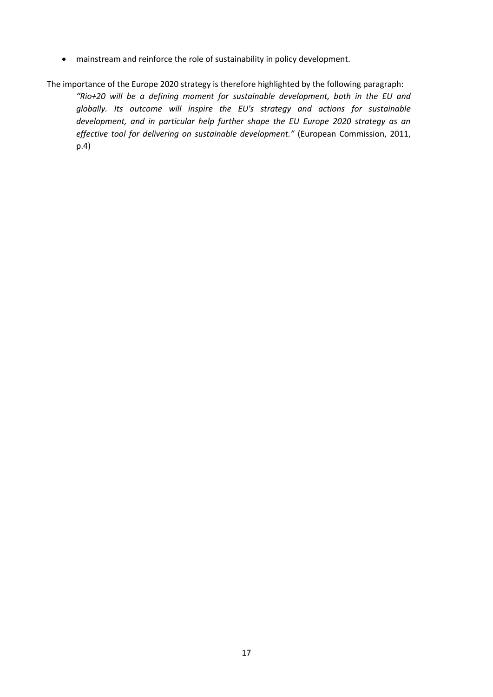mainstream and reinforce the role of sustainability in policy development.

The importance of the Europe 2020 strategy is therefore highlighted by the following paragraph:

*"Rio+20 will be a defining moment for sustainable development, both in the EU and globally. Its outcome will inspire the EU's strategy and actions for sustainable development, and in particular help further shape the EU Europe 2020 strategy as an effective tool for delivering on sustainable development."* (European Commission, 2011, p.4)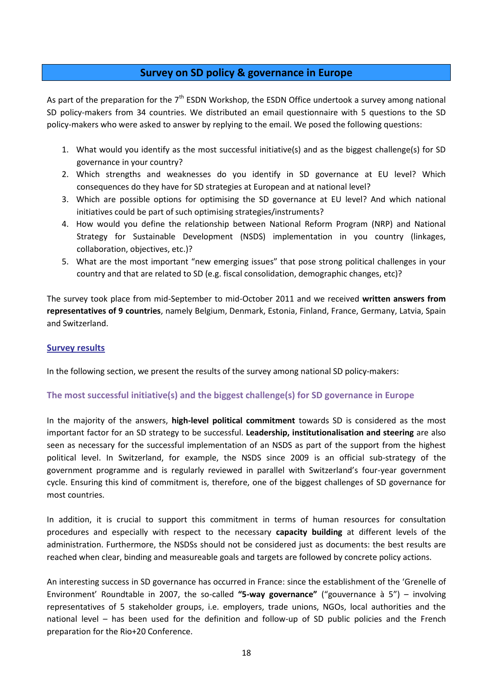## **Survey on SD policy & governance in Europe**

<span id="page-17-0"></span>As part of the preparation for the  $7<sup>th</sup>$  ESDN Workshop, the ESDN Office undertook a survey among national SD policy-makers from 34 countries. We distributed an email questionnaire with 5 questions to the SD policy-makers who were asked to answer by replying to the email. We posed the following questions:

- 1. What would you identify as the most successful initiative(s) and as the biggest challenge(s) for SD governance in your country?
- 2. Which strengths and weaknesses do you identify in SD governance at EU level? Which consequences do they have for SD strategies at European and at national level?
- 3. Which are possible options for optimising the SD governance at EU level? And which national initiatives could be part of such optimising strategies/instruments?
- 4. How would you define the relationship between National Reform Program (NRP) and National Strategy for Sustainable Development (NSDS) implementation in you country (linkages, collaboration, objectives, etc.)?
- 5. What are the most important "new emerging issues" that pose strong political challenges in your country and that are related to SD (e.g. fiscal consolidation, demographic changes, etc)?

The survey took place from mid-September to mid-October 2011 and we received **written answers from representatives of 9 countries**, namely Belgium, Denmark, Estonia, Finland, France, Germany, Latvia, Spain and Switzerland.

#### <span id="page-17-1"></span>**Survey results**

In the following section, we present the results of the survey among national SD policy-makers:

## <span id="page-17-2"></span>**The most successful initiative(s) and the biggest challenge(s) for SD governance in Europe**

In the majority of the answers, **high-level political commitment** towards SD is considered as the most important factor for an SD strategy to be successful. **Leadership, institutionalisation and steering** are also seen as necessary for the successful implementation of an NSDS as part of the support from the highest political level. In Switzerland, for example, the NSDS since 2009 is an official sub-strategy of the government programme and is regularly reviewed in parallel with Switzerland's four-year government cycle. Ensuring this kind of commitment is, therefore, one of the biggest challenges of SD governance for most countries.

In addition, it is crucial to support this commitment in terms of human resources for consultation procedures and especially with respect to the necessary **capacity building** at different levels of the administration. Furthermore, the NSDSs should not be considered just as documents: the best results are reached when clear, binding and measureable goals and targets are followed by concrete policy actions.

An interesting success in SD governance has occurred in France: since the establishment of the 'Grenelle of Environment' Roundtable in 2007, the so-called **"5-way governance"** ("gouvernance à 5") – involving representatives of 5 stakeholder groups, i.e. employers, trade unions, NGOs, local authorities and the national level – has been used for the definition and follow-up of SD public policies and the French preparation for the Rio+20 Conference.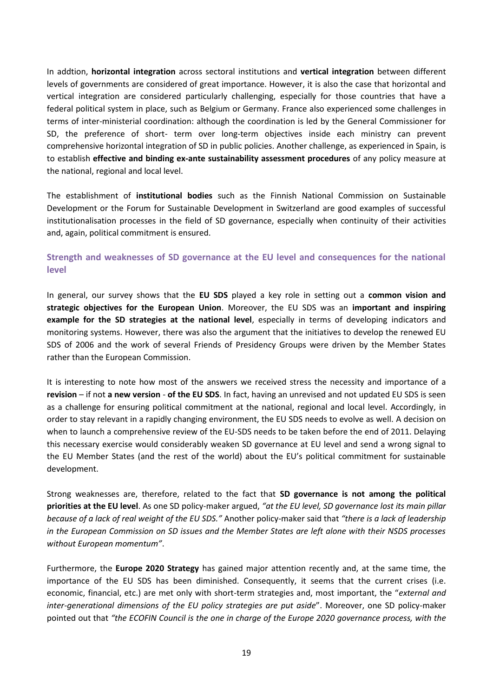In addtion, **horizontal integration** across sectoral institutions and **vertical integration** between different levels of governments are considered of great importance. However, it is also the case that horizontal and vertical integration are considered particularly challenging, especially for those countries that have a federal political system in place, such as Belgium or Germany. France also experienced some challenges in terms of inter-ministerial coordination: although the coordination is led by the General Commissioner for SD, the preference of short- term over long-term objectives inside each ministry can prevent comprehensive horizontal integration of SD in public policies. Another challenge, as experienced in Spain, is to establish **effective and binding ex-ante sustainability assessment procedures** of any policy measure at the national, regional and local level.

The establishment of **institutional bodies** such as the Finnish National Commission on Sustainable Development or the Forum for Sustainable Development in Switzerland are good examples of successful institutionalisation processes in the field of SD governance, especially when continuity of their activities and, again, political commitment is ensured.

## <span id="page-18-0"></span>**Strength and weaknesses of SD governance at the EU level and consequences for the national level**

In general, our survey shows that the **EU SDS** played a key role in setting out a **common vision and strategic objectives for the European Union**. Moreover, the EU SDS was an **important and inspiring example for the SD strategies at the national level**, especially in terms of developing indicators and monitoring systems. However, there was also the argument that the initiatives to develop the renewed EU SDS of 2006 and the work of several Friends of Presidency Groups were driven by the Member States rather than the European Commission.

It is interesting to note how most of the answers we received stress the necessity and importance of a **revision** – if not **a new version** - **of the EU SDS**. In fact, having an unrevised and not updated EU SDS is seen as a challenge for ensuring political commitment at the national, regional and local level. Accordingly, in order to stay relevant in a rapidly changing environment, the EU SDS needs to evolve as well. A decision on when to launch a comprehensive review of the EU-SDS needs to be taken before the end of 2011. Delaying this necessary exercise would considerably weaken SD governance at EU level and send a wrong signal to the EU Member States (and the rest of the world) about the EU's political commitment for sustainable development.

Strong weaknesses are, therefore, related to the fact that **SD governance is not among the political priorities at the EU level**. As one SD policy-maker argued, *"at the EU level, SD governance lost its main pillar because of a lack of real weight of the EU SDS."* Another policy-maker said that *"there is a lack of leadership in the European Commission on SD issues and the Member States are left alone with their NSDS processes without European momentum"*.

Furthermore, the **Europe 2020 Strategy** has gained major attention recently and, at the same time, the importance of the EU SDS has been diminished. Consequently, it seems that the current crises (i.e. economic, financial, etc.) are met only with short-term strategies and, most important, the "*external and inter-generational dimensions of the EU policy strategies are put aside*". Moreover, one SD policy-maker pointed out that *"the ECOFIN Council is the one in charge of the Europe 2020 governance process, with the*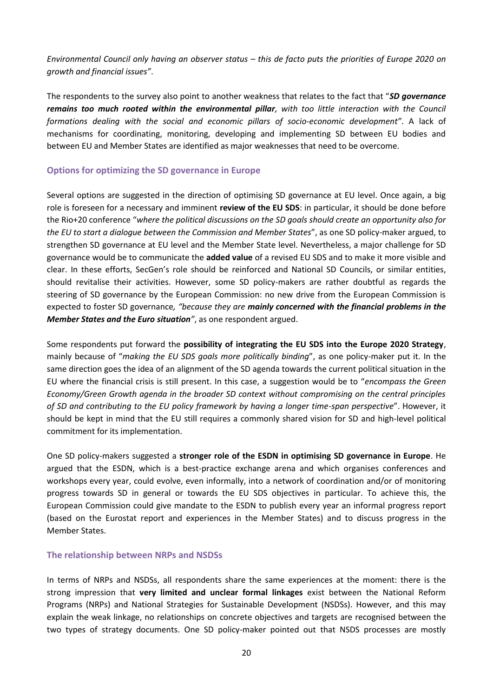*Environmental Council only having an observer status – this de facto puts the priorities of Europe 2020 on growth and financial issues"*.

The respondents to the survey also point to another weakness that relates to the fact that "*SD governance remains too much rooted within the environmental pillar, with too little interaction with the Council formations dealing with the social and economic pillars of socio-economic development"*. A lack of mechanisms for coordinating, monitoring, developing and implementing SD between EU bodies and between EU and Member States are identified as major weaknesses that need to be overcome.

## <span id="page-19-0"></span>**Options for optimizing the SD governance in Europe**

Several options are suggested in the direction of optimising SD governance at EU level. Once again, a big role is foreseen for a necessary and imminent **review of the EU SDS**: in particular, it should be done before the Rio+20 conference "*where the political discussions on the SD goals should create an opportunity also for the EU to start a dialogue between the Commission and Member States*", as one SD policy-maker argued, to strengthen SD governance at EU level and the Member State level. Nevertheless, a major challenge for SD governance would be to communicate the **added value** of a revised EU SDS and to make it more visible and clear. In these efforts, SecGen's role should be reinforced and National SD Councils, or similar entities, should revitalise their activities. However, some SD policy-makers are rather doubtful as regards the steering of SD governance by the European Commission: no new drive from the European Commission is expected to foster SD governance*, "because they are mainly concerned with the financial problems in the Member States and the Euro situation"*, as one respondent argued.

Some respondents put forward the **possibility of integrating the EU SDS into the Europe 2020 Strategy**, mainly because of "*making the EU SDS goals more politically binding*", as one policy-maker put it. In the same direction goes the idea of an alignment of the SD agenda towards the current political situation in the EU where the financial crisis is still present. In this case, a suggestion would be to "*encompass the Green Economy/Green Growth agenda in the broader SD context without compromising on the central principles of SD and contributing to the EU policy framework by having a longer time-span perspective*". However, it should be kept in mind that the EU still requires a commonly shared vision for SD and high-level political commitment for its implementation.

One SD policy-makers suggested a **stronger role of the ESDN in optimising SD governance in Europe**. He argued that the ESDN, which is a best-practice exchange arena and which organises conferences and workshops every year, could evolve, even informally, into a network of coordination and/or of monitoring progress towards SD in general or towards the EU SDS objectives in particular. To achieve this, the European Commission could give mandate to the ESDN to publish every year an informal progress report (based on the Eurostat report and experiences in the Member States) and to discuss progress in the Member States.

#### <span id="page-19-1"></span>**The relationship between NRPs and NSDSs**

In terms of NRPs and NSDSs, all respondents share the same experiences at the moment: there is the strong impression that **very limited and unclear formal linkages** exist between the National Reform Programs (NRPs) and National Strategies for Sustainable Development (NSDSs). However, and this may explain the weak linkage, no relationships on concrete objectives and targets are recognised between the two types of strategy documents. One SD policy-maker pointed out that NSDS processes are mostly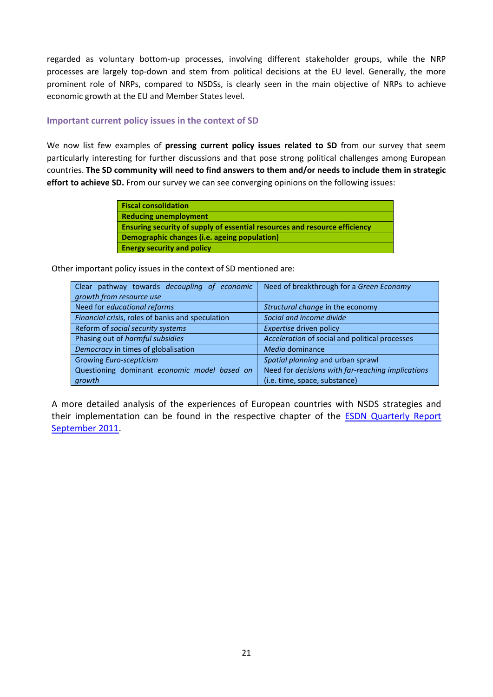regarded as voluntary bottom-up processes, involving different stakeholder groups, while the NRP processes are largely top-down and stem from political decisions at the EU level. Generally, the more prominent role of NRPs, compared to NSDSs, is clearly seen in the main objective of NRPs to achieve economic growth at the EU and Member States level.

## <span id="page-20-0"></span>**Important current policy issues in the context of SD**

We now list few examples of **pressing current policy issues related to SD** from our survey that seem particularly interesting for further discussions and that pose strong political challenges among European countries. **The SD community will need to find answers to them and/or needs to include them in strategic effort to achieve SD.** From our survey we can see converging opinions on the following issues:

| <b>Fiscal consolidation</b>                                                |
|----------------------------------------------------------------------------|
| <b>Reducing unemployment</b>                                               |
| Ensuring security of supply of essential resources and resource efficiency |
| Demographic changes (i.e. ageing population)                               |
| <b>Energy security and policy</b>                                          |

Other important policy issues in the context of SD mentioned are:

| Clear pathway towards decoupling of economic     | Need of breakthrough for a Green Economy          |  |  |
|--------------------------------------------------|---------------------------------------------------|--|--|
| growth from resource use                         |                                                   |  |  |
| Need for educational reforms                     | Structural change in the economy                  |  |  |
| Financial crisis, roles of banks and speculation | Social and income divide                          |  |  |
| Reform of social security systems                | Expertise driven policy                           |  |  |
| Phasing out of harmful subsidies                 | Acceleration of social and political processes    |  |  |
| Democracy in times of globalisation              | Media dominance                                   |  |  |
| <b>Growing Euro-scepticism</b>                   | Spatial planning and urban sprawl                 |  |  |
| Questioning dominant economic model based on     | Need for decisions with far-reaching implications |  |  |
| growth                                           | (i.e. time, space, substance)                     |  |  |

A more detailed analysis of the experiences of European countries with NSDS strategies and their implementation can be found in the respective chapter of the [ESDN Quarterly Report](http://www.sd-network.eu/?k=quarterly%20reports&report_id=22#qr41)  [September 2011.](http://www.sd-network.eu/?k=quarterly%20reports&report_id=22#qr41)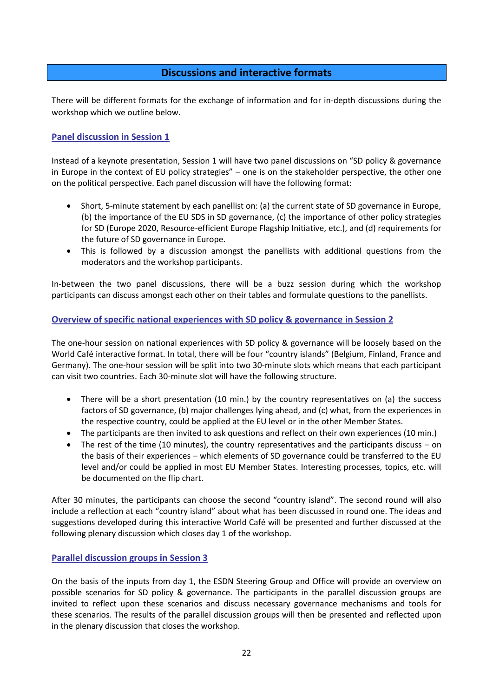## **Discussions and interactive formats**

<span id="page-21-0"></span>There will be different formats for the exchange of information and for in-depth discussions during the workshop which we outline below.

## <span id="page-21-1"></span>**Panel discussion in Session 1**

Instead of a keynote presentation, Session 1 will have two panel discussions on "SD policy & governance in Europe in the context of EU policy strategies" – one is on the stakeholder perspective, the other one on the political perspective. Each panel discussion will have the following format:

- Short, 5-minute statement by each panellist on: (a) the current state of SD governance in Europe, (b) the importance of the EU SDS in SD governance, (c) the importance of other policy strategies for SD (Europe 2020, Resource-efficient Europe Flagship Initiative, etc.), and (d) requirements for the future of SD governance in Europe.
- This is followed by a discussion amongst the panellists with additional questions from the moderators and the workshop participants.

In-between the two panel discussions, there will be a buzz session during which the workshop participants can discuss amongst each other on their tables and formulate questions to the panellists.

## <span id="page-21-2"></span>**Overview of specific national experiences with SD policy & governance in Session 2**

The one-hour session on national experiences with SD policy & governance will be loosely based on the World Café interactive format. In total, there will be four "country islands" (Belgium, Finland, France and Germany). The one-hour session will be split into two 30-minute slots which means that each participant can visit two countries. Each 30-minute slot will have the following structure.

- There will be a short presentation (10 min.) by the country representatives on (a) the success factors of SD governance, (b) major challenges lying ahead, and (c) what, from the experiences in the respective country, could be applied at the EU level or in the other Member States.
- The participants are then invited to ask questions and reflect on their own experiences (10 min.)
- The rest of the time (10 minutes), the country representatives and the participants discuss on the basis of their experiences – which elements of SD governance could be transferred to the EU level and/or could be applied in most EU Member States. Interesting processes, topics, etc. will be documented on the flip chart.

After 30 minutes, the participants can choose the second "country island". The second round will also include a reflection at each "country island" about what has been discussed in round one. The ideas and suggestions developed during this interactive World Café will be presented and further discussed at the following plenary discussion which closes day 1 of the workshop.

#### <span id="page-21-3"></span>**Parallel discussion groups in Session 3**

On the basis of the inputs from day 1, the ESDN Steering Group and Office will provide an overview on possible scenarios for SD policy & governance. The participants in the parallel discussion groups are invited to reflect upon these scenarios and discuss necessary governance mechanisms and tools for these scenarios. The results of the parallel discussion groups will then be presented and reflected upon in the plenary discussion that closes the workshop.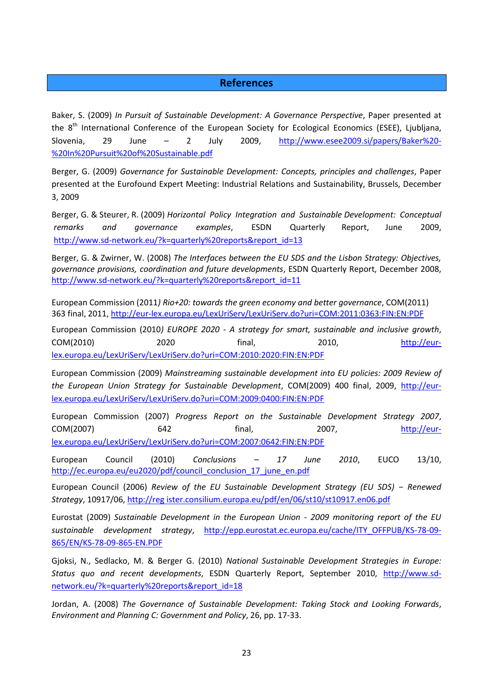## **References**

<span id="page-22-0"></span>Baker, S. (2009) *In Pursuit of Sustainable Development: A Governance Perspective*, Paper presented at the 8<sup>th</sup> International Conference of the European Society for Ecological Economics (ESEE), Ljubljana, Slovenia, 29 June – 2 July 2009, [http://www.esee2009.si/papers/Baker%20-](http://www.esee2009.si/papers/Baker%20-%20In%20Pursuit%20of%20Sustainable.pdf) [%20In%20Pursuit%20of%20Sustainable.pdf](http://www.esee2009.si/papers/Baker%20-%20In%20Pursuit%20of%20Sustainable.pdf) 

Berger, G. (2009) *Governance for Sustainable Development: Concepts, principles and challenges*, Paper presented at the Eurofound Expert Meeting: Industrial Relations and Sustainability, Brussels, December 3, 2009

Berger, G. & Steurer, R. (2009) *Horizontal Policy Integration and Sustainable Development: Conceptual remarks and governance examples*, ESDN Quarterly Report, June 2009, http://www.sd-network.eu/?k=quarterly%20reports&report\_id=13

Berger, G. & Zwirner, W. (2008) *The Interfaces between the EU SDS and the Lisbon Strategy: Objectives, governance provisions, coordination and future developments*, ESDN Quarterly Report, December 2008, [http://www.sd-network.eu/?k=quarterly%20reports&report\\_id=11](http://www.sd-network.eu/?k=quarterly%20reports&report_id=11)

European Commission (2011*) Rio+20: towards the green economy and better governance*, COM(2011) 363 final, 2011,<http://eur-lex.europa.eu/LexUriServ/LexUriServ.do?uri=COM:2011:0363:FIN:EN:PDF>

European Commission (2010*) EUROPE 2020 - A strategy for smart, sustainable and inclusive growth*, COM(2010) 2020 final, 2010, [http://eur](http://eur-lex.europa.eu/LexUriServ/LexUriServ.do?uri=COM:2010:2020:FIN:EN:PDF)[lex.europa.eu/LexUriServ/LexUriServ.do?uri=COM:2010:2020:FIN:EN:PDF](http://eur-lex.europa.eu/LexUriServ/LexUriServ.do?uri=COM:2010:2020:FIN:EN:PDF)

European Commission (2009) *Mainstreaming sustainable development into EU policies: 2009 Review of the European Union Strategy for Sustainable Development*, COM(2009) 400 final, 2009, [http://eur](http://eur-lex.europa.eu/LexUriServ/LexUriServ.do?uri=COM:2009:0400:FIN:EN:PDF)[lex.europa.eu/LexUriServ/LexUriServ.do?uri=COM:2009:0400:FIN:EN:PDF](http://eur-lex.europa.eu/LexUriServ/LexUriServ.do?uri=COM:2009:0400:FIN:EN:PDF)

European Commission (2007) *Progress Report on the Sustainable Development Strategy 2007*, COM(2007) 642 final, 2007, [http://eur](http://eur-lex.europa.eu/LexUriServ/LexUriServ.do?uri=COM:2007:0642:FIN:EN:PDF)[lex.europa.eu/LexUriServ/LexUriServ.do?uri=COM:2007:0642:FIN:EN:PDF](http://eur-lex.europa.eu/LexUriServ/LexUriServ.do?uri=COM:2007:0642:FIN:EN:PDF)

European Council (2010) *Conclusions – 17 June 2010*, EUCO 13/10, [http://ec.europa.eu/eu2020/pdf/council\\_conclusion\\_17\\_june\\_en.pdf](http://ec.europa.eu/eu2020/pdf/council_conclusion_17_june_en.pdf)

European Council (2006) *Review of the EU Sustainable Development Strategy (EU SDS) − Renewed Strategy*, 10917/06[, http://reg ister.consilium.europa.eu/pdf/en/06/st10/st10917.en06.pdf](http://register.consilium.europa.eu/pdf/en/06/st10/st10917.en06.pdf)

Eurostat (2009) *Sustainable Development in the European Union - 2009 monitoring report of the EU sustainable development strategy*, [http://epp.eurostat.ec.europa.eu/cache/ITY\\_OFFPUB/KS-78-09-](http://epp.eurostat.ec.europa.eu/cache/ITY_OFFPUB/KS-78-09-865/EN/KS-78-09-865-EN.PDF) [865/EN/KS-78-09-865-EN.PDF](http://epp.eurostat.ec.europa.eu/cache/ITY_OFFPUB/KS-78-09-865/EN/KS-78-09-865-EN.PDF)

Gjoksi, N., Sedlacko, M. & Berger G. (2010) *National Sustainable Development Strategies in Europe: Status quo and recent developments*, ESDN Quarterly Report, September 2010, [http://www.sd](http://www.sd-network.eu/?k=quarterly%20reports&report_id=18)[network.eu/?k=quarterly%20reports&report\\_id=18](http://www.sd-network.eu/?k=quarterly%20reports&report_id=18)

Jordan, A. (2008) *The Governance of Sustainable Development: Taking Stock and Looking Forwards*, *Environment and Planning C: Government and Policy*, 26, pp. 17-33.